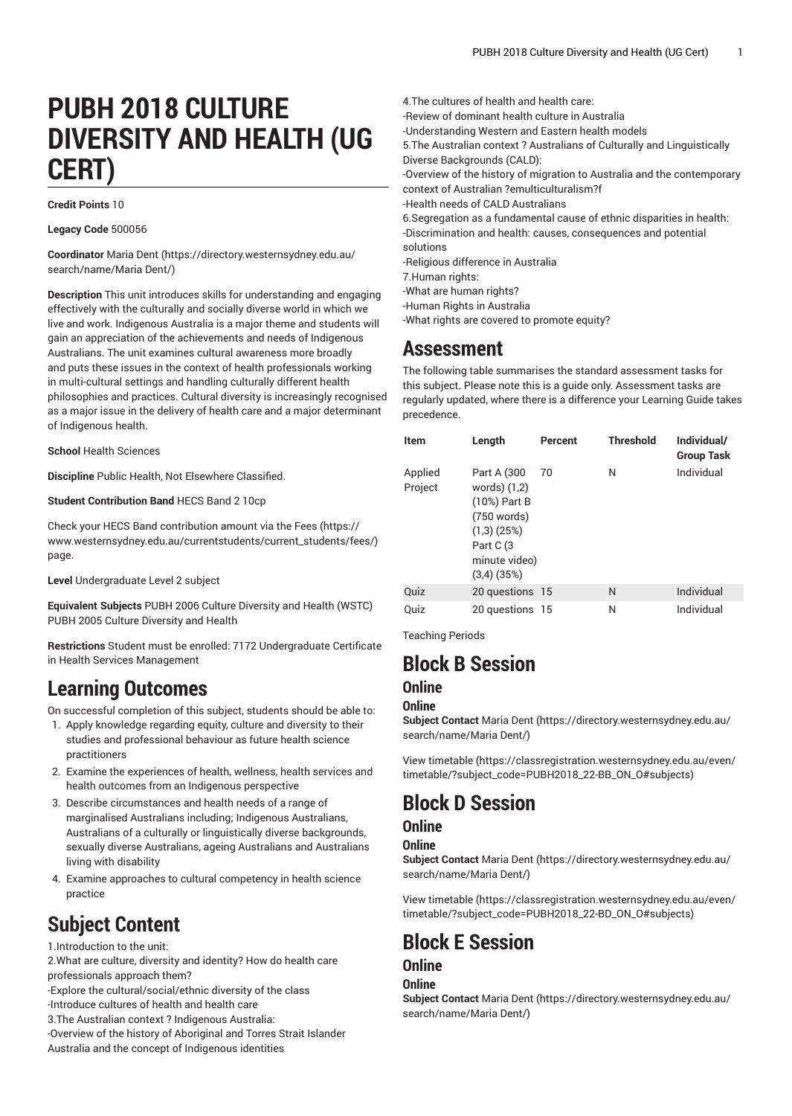# **PUBH 2018 CULTURE DIVERSITY AND HEALTH (UG CERT)**

#### **Credit Points** 10

#### **Legacy Code** 500056

**Coordinator** [Maria Dent \(https://directory.westernsydney.edu.au/](https://directory.westernsydney.edu.au/search/name/Maria Dent/) [search/name/Maria](https://directory.westernsydney.edu.au/search/name/Maria Dent/) Dent/)

**Description** This unit introduces skills for understanding and engaging effectively with the culturally and socially diverse world in which we live and work. Indigenous Australia is a major theme and students will gain an appreciation of the achievements and needs of Indigenous Australians. The unit examines cultural awareness more broadly and puts these issues in the context of health professionals working in multi-cultural settings and handling culturally different health philosophies and practices. Cultural diversity is increasingly recognised as a major issue in the delivery of health care and a major determinant of Indigenous health.

**School** Health Sciences

**Discipline** Public Health, Not Elsewhere Classified.

#### **Student Contribution Band** HECS Band 2 10cp

Check your HECS Band contribution amount via the [Fees \(https://](https://www.westernsydney.edu.au/currentstudents/current_students/fees/) [www.westernsydney.edu.au/currentstudents/current\\_students/fees/\)](https://www.westernsydney.edu.au/currentstudents/current_students/fees/) page.

**Level** Undergraduate Level 2 subject

**Equivalent Subjects** [PUBH 2006](/search/?P=PUBH%202006) Culture Diversity and Health (WSTC) [PUBH 2005](/search/?P=PUBH%202005) Culture Diversity and Health

**Restrictions** Student must be enrolled: 7172 Undergraduate Certificate in Health Services Management

### **Learning Outcomes**

On successful completion of this subject, students should be able to:

- 1. Apply knowledge regarding equity, culture and diversity to their studies and professional behaviour as future health science practitioners
- 2. Examine the experiences of health, wellness, health services and health outcomes from an Indigenous perspective
- 3. Describe circumstances and health needs of a range of marginalised Australians including; Indigenous Australians, Australians of a culturally or linguistically diverse backgrounds, sexually diverse Australians, ageing Australians and Australians living with disability
- 4. Examine approaches to cultural competency in health science practice

## **Subject Content**

1.Introduction to the unit:

2.What are culture, diversity and identity? How do health care professionals approach them?

-Explore the cultural/social/ethnic diversity of the class

-Introduce cultures of health and health care

3.The Australian context ? Indigenous Australia:

-Overview of the history of Aboriginal and Torres Strait Islander Australia and the concept of Indigenous identities

4.The cultures of health and health care: -Review of dominant health culture in Australia -Understanding Western and Eastern health models 5.The Australian context ? Australians of Culturally and Linguistically Diverse Backgrounds (CALD): -Overview of the history of migration to Australia and the contemporary context of Australian ?emulticulturalism?f -Health needs of CALD Australians 6.Segregation as a fundamental cause of ethnic disparities in health: -Discrimination and health: causes, consequences and potential solutions -Religious difference in Australia 7.Human rights: -What are human rights? -Human Rights in Australia

-What rights are covered to promote equity?

### **Assessment**

The following table summarises the standard assessment tasks for this subject. Please note this is a guide only. Assessment tasks are regularly updated, where there is a difference your Learning Guide takes precedence.

| <b>Item</b>        | Length                                                                                                                         | Percent | <b>Threshold</b> | Individual/<br><b>Group Task</b> |
|--------------------|--------------------------------------------------------------------------------------------------------------------------------|---------|------------------|----------------------------------|
| Applied<br>Project | Part A (300<br>words) (1,2)<br>(10%) Part B<br>(750 words)<br>$(1,3)$ $(25%)$<br>Part C (3<br>minute video)<br>$(3,4)$ $(35%)$ | 70      | N                | Individual                       |
| Quiz               | 20 questions 15                                                                                                                |         | N                | Individual                       |
| Quiz               | 20 questions 15                                                                                                                |         | N                | Individual                       |

Teaching Periods

# **Block B Session**

### **Online**

#### **Online**

**Subject Contact** [Maria Dent](https://directory.westernsydney.edu.au/search/name/Maria Dent/) ([https://directory.westernsydney.edu.au/](https://directory.westernsydney.edu.au/search/name/Maria Dent/) [search/name/Maria](https://directory.westernsydney.edu.au/search/name/Maria Dent/) Dent/)

[View timetable](https://classregistration.westernsydney.edu.au/even/timetable/?subject_code=PUBH2018_22-BB_ON_O#subjects) [\(https://classregistration.westernsydney.edu.au/even/](https://classregistration.westernsydney.edu.au/even/timetable/?subject_code=PUBH2018_22-BB_ON_O#subjects) [timetable/?subject\\_code=PUBH2018\\_22-BB\\_ON\\_O#subjects](https://classregistration.westernsydney.edu.au/even/timetable/?subject_code=PUBH2018_22-BB_ON_O#subjects))

### **Block D Session**

### **Online**

#### **Online**

**Subject Contact** [Maria Dent](https://directory.westernsydney.edu.au/search/name/Maria Dent/) ([https://directory.westernsydney.edu.au/](https://directory.westernsydney.edu.au/search/name/Maria Dent/) [search/name/Maria](https://directory.westernsydney.edu.au/search/name/Maria Dent/) Dent/)

[View timetable](https://classregistration.westernsydney.edu.au/even/timetable/?subject_code=PUBH2018_22-BD_ON_O#subjects) [\(https://classregistration.westernsydney.edu.au/even/](https://classregistration.westernsydney.edu.au/even/timetable/?subject_code=PUBH2018_22-BD_ON_O#subjects) [timetable/?subject\\_code=PUBH2018\\_22-BD\\_ON\\_O#subjects\)](https://classregistration.westernsydney.edu.au/even/timetable/?subject_code=PUBH2018_22-BD_ON_O#subjects)

# **Block E Session**

### **Online**

#### **Online**

**Subject Contact** [Maria Dent](https://directory.westernsydney.edu.au/search/name/Maria Dent/) ([https://directory.westernsydney.edu.au/](https://directory.westernsydney.edu.au/search/name/Maria Dent/) [search/name/Maria](https://directory.westernsydney.edu.au/search/name/Maria Dent/) Dent/)